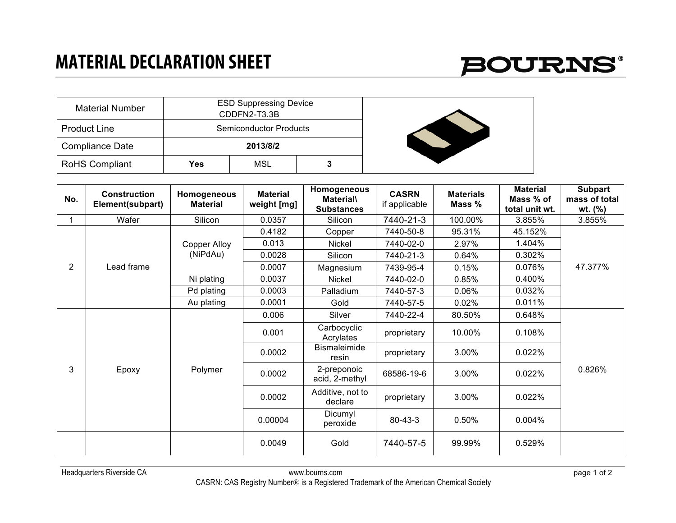## **MATERIAL DECLARATION SHEET**



| <b>Material Number</b> |     | <b>ESD Suppressing Device</b><br>CDDFN2-T3.3B |  |  |
|------------------------|-----|-----------------------------------------------|--|--|
| <b>Product Line</b>    |     | <b>Semiconductor Products</b>                 |  |  |
| <b>Compliance Date</b> |     | 2013/8/2                                      |  |  |
| <b>RoHS Compliant</b>  | Yes | MSL                                           |  |  |

| No.            | <b>Construction</b><br>Element(subpart) | Homogeneous<br><b>Material</b>  | <b>Material</b><br>weight [mg] | Homogeneous<br><b>Material\</b><br><b>Substances</b> | <b>CASRN</b><br>if applicable | <b>Materials</b><br>Mass % | <b>Material</b><br>Mass % of<br>total unit wt. | <b>Subpart</b><br>mass of total<br>$wt.$ (%) |
|----------------|-----------------------------------------|---------------------------------|--------------------------------|------------------------------------------------------|-------------------------------|----------------------------|------------------------------------------------|----------------------------------------------|
|                | Wafer                                   | Silicon                         | 0.0357                         | Silicon                                              | 7440-21-3                     | 100.00%                    | 3.855%                                         | 3.855%                                       |
| $\overline{2}$ | Lead frame                              | <b>Copper Alloy</b><br>(NiPdAu) | 0.4182                         | Copper                                               | 7440-50-8                     | 95.31%                     | 45.152%                                        | 47.377%                                      |
|                |                                         |                                 | 0.013                          | <b>Nickel</b>                                        | 7440-02-0                     | 2.97%                      | 1.404%                                         |                                              |
|                |                                         |                                 | 0.0028                         | Silicon                                              | 7440-21-3                     | 0.64%                      | 0.302%                                         |                                              |
|                |                                         |                                 | 0.0007                         | Magnesium                                            | 7439-95-4                     | 0.15%                      | 0.076%                                         |                                              |
|                |                                         | Ni plating                      | 0.0037                         | Nickel                                               | 7440-02-0                     | 0.85%                      | 0.400%                                         |                                              |
|                |                                         | Pd plating                      | 0.0003                         | Palladium                                            | 7440-57-3                     | 0.06%                      | 0.032%                                         |                                              |
|                |                                         | Au plating                      | 0.0001                         | Gold                                                 | 7440-57-5                     | 0.02%                      | 0.011%                                         |                                              |
|                | Epoxy                                   | Polymer                         | 0.006                          | Silver                                               | 7440-22-4                     | 80.50%                     | 0.648%                                         | 0.826%                                       |
| 3              |                                         |                                 | 0.001                          | Carbocyclic<br>Acrylates                             | proprietary                   | 10.00%                     | 0.108%                                         |                                              |
|                |                                         |                                 | 0.0002                         | <b>Bismaleimide</b><br>resin                         | proprietary                   | 3.00%                      | 0.022%                                         |                                              |
|                |                                         |                                 | 0.0002                         | 2-preponoic<br>acid, 2-methyl                        | 68586-19-6                    | 3.00%                      | 0.022%                                         |                                              |
|                |                                         |                                 | 0.0002                         | Additive, not to<br>declare                          | proprietary                   | 3.00%                      | 0.022%                                         |                                              |
|                |                                         |                                 | 0.00004                        | Dicumyl<br>peroxide                                  | $80 - 43 - 3$                 | 0.50%                      | 0.004%                                         |                                              |
|                |                                         |                                 | 0.0049                         | Gold                                                 | 7440-57-5                     | 99.99%                     | 0.529%                                         |                                              |

Headquarters Riverside CA www.bourns.com page 1 of 2 CASRN: CAS Registry Number® is a Registered Trademark of the American Chemical Society